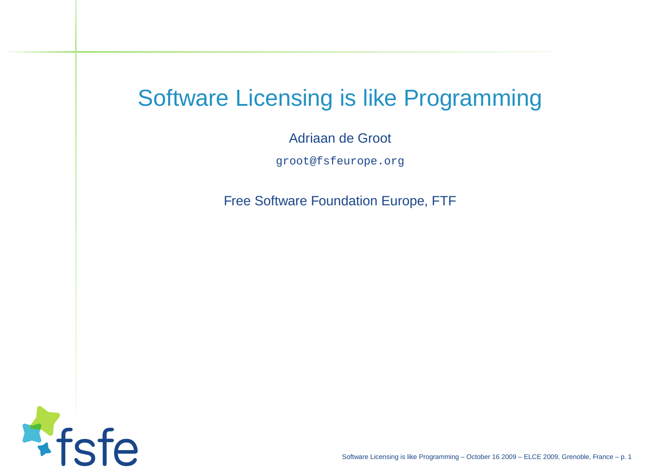### Software Licensing is like Programming

Adriaan de Groot

groot@fsfeurope.org

Free Software Foundation Europe, FTF



Software Licensing is like Programming – October 16 2009 – ELCE 2009, Grenoble, France – p. <sup>1</sup>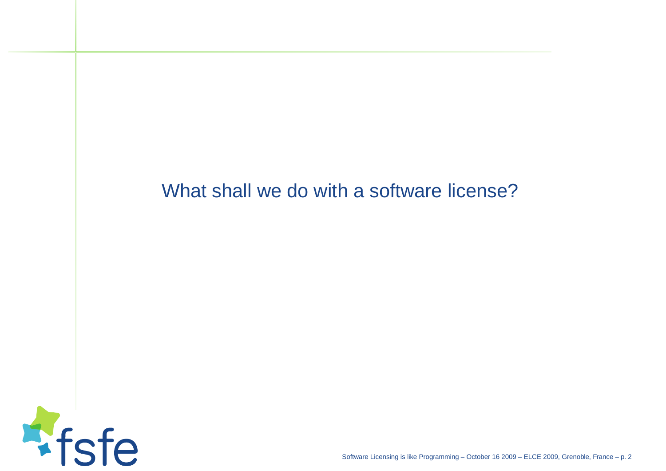#### What shall we do with <sup>a</sup> software license?

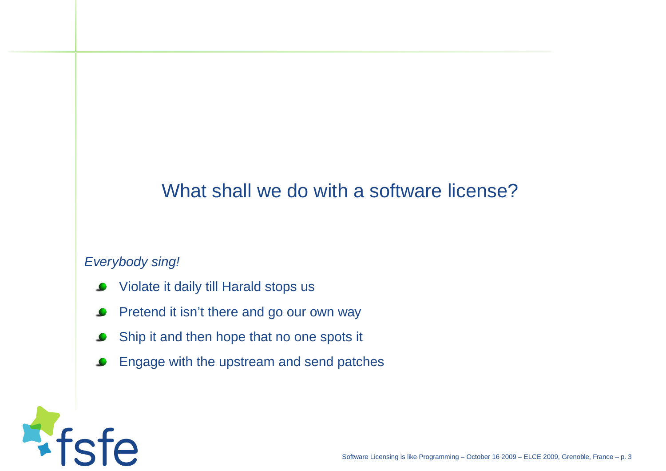#### What shall we do with <sup>a</sup> software license?

#### Everybody sing!

fe

**A**fsf

- Violate it daily till Harald stops us $\bullet$
- Pretend it isn't there and go our own way $\bullet$
- Ship it and then hope that no one spots it  $\bullet$
- Engage with the upstream and send patches $\bullet$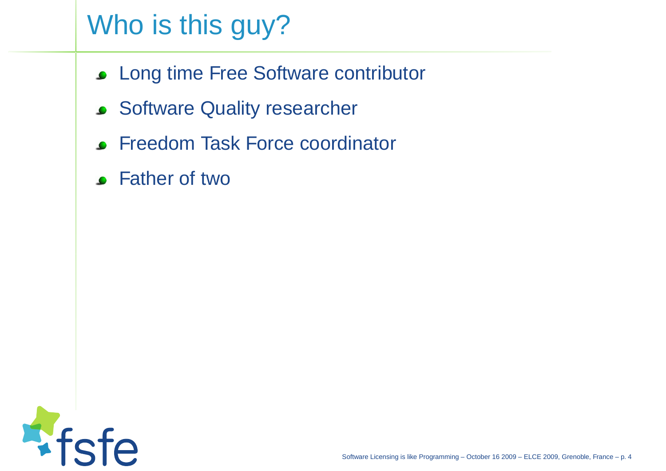# Who is this guy?

- **COLONG THE SOFT CONTRETT CONTRETT OF LONG THE FREE SOFTWATE CONTRETT**
- **Software Quality researcher**
- **Freedom Task Force coordinator**
- Father of two

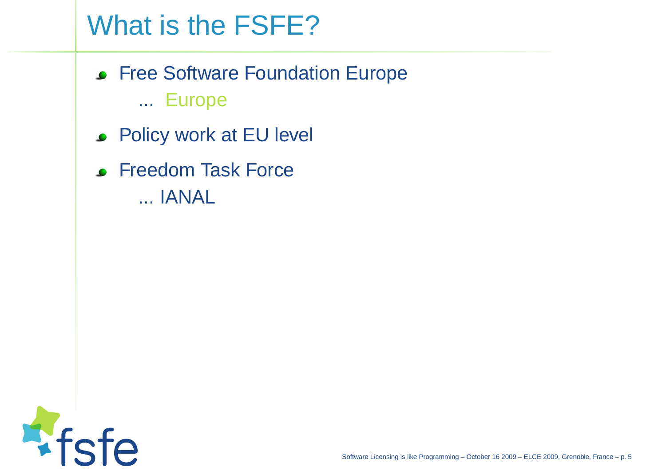# What is the FSFE?

- **Free Software Foundation Europe** ... Europe
- **Policy work at EU level**
- **Freedom Task Force** ... IANAL

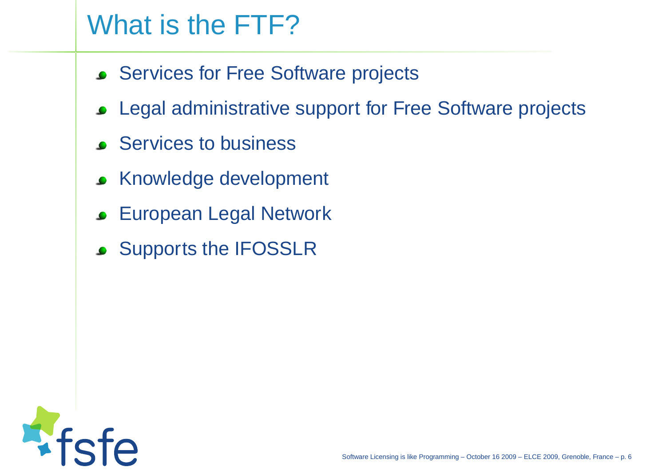# What is the FTF?

- Services for Free Software projects
- **Legal administrative support for Free Software projects**
- **Services to business**
- Knowledge development
- **European Legal Network**
- **Supports the IFOSSLR**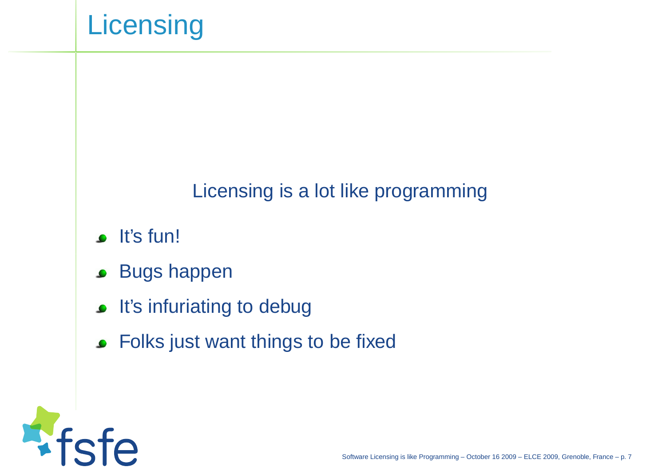# **Licensing**

### Licensing is <sup>a</sup> lot like programming

- $\bullet$  It's fun!
- **Bugs happen**
- It's infuriating to debug
- **Folks just want things to be fixed**

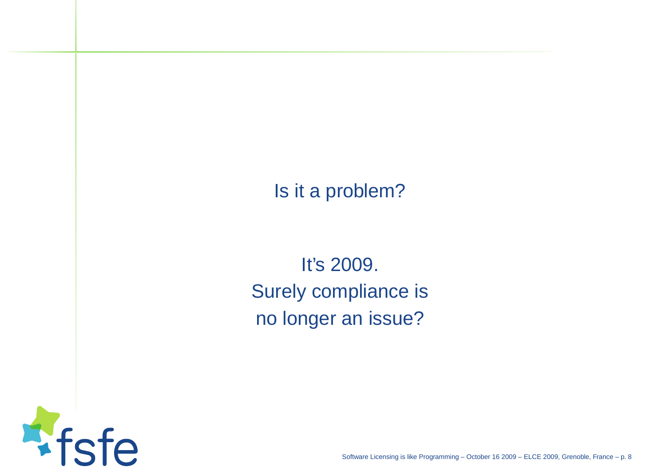Is it <sup>a</sup> problem?

It's 2009. Surely compliance isno longer an issue?



Software Licensing is like Programming – October 16 2009 – ELCE 2009, Grenoble, France – p. 8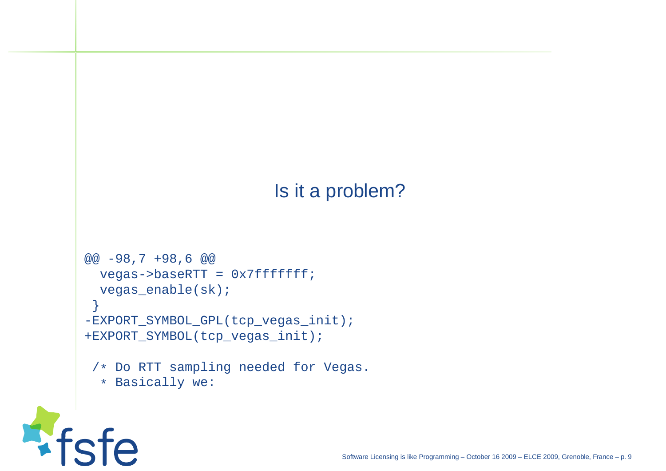#### Is it <sup>a</sup> problem?

```
@@ -98,7 +98,6 @@
 vegas->baseRTT = 0x7fffffff;vegas enable(sk);
 }
-EXPORT_SYMBOL_GPL(tcp_vegas_init);+EXPORT_SYMBOL(tcp_vegas_init);
```
/\* Do RTT sampling needed for Vegas.

```
* Basically we:
```
**T**fs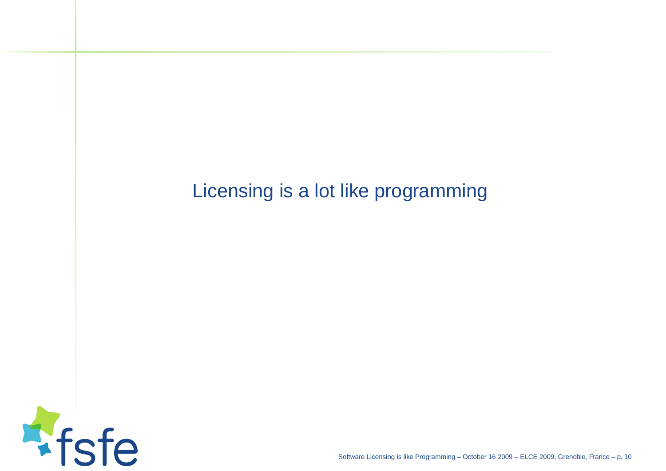### Licensing is <sup>a</sup> lot like programming



Software Licensing is like Programming – October 16 2009 – ELCE 2009, Grenoble, France – p. 10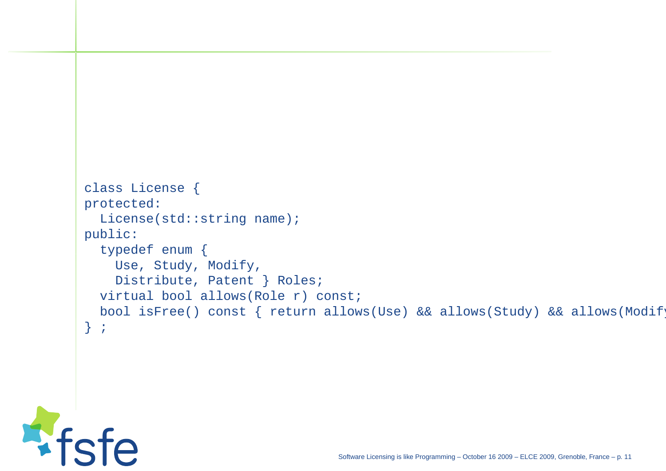```
class License {
protected:License(std::string name);<br>...
public:
typedef enum {
    Use, Study, Modify,
    Distribute, Patent } Roles;
  virtual bool allows(Role r) const;
  bool isFree() const { return allows(Use) && allows(Study) && allows(M
} ;
```
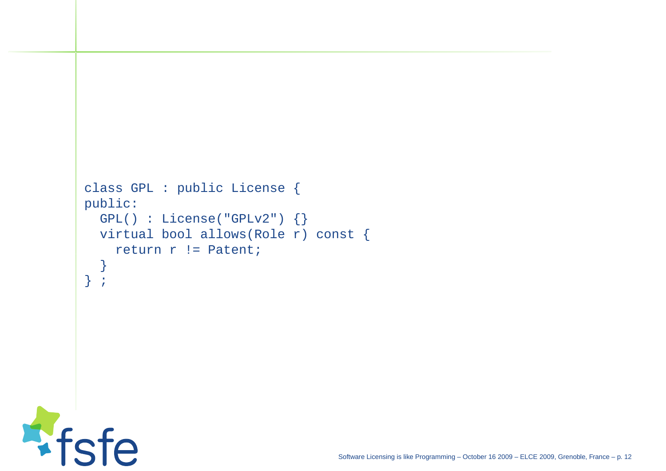```
class GPL : public License {
public:
GPL() : License("GPLv2") {}
  virtual bool allows(Role r) const {
    return r != Patent;
  }\} ;
```
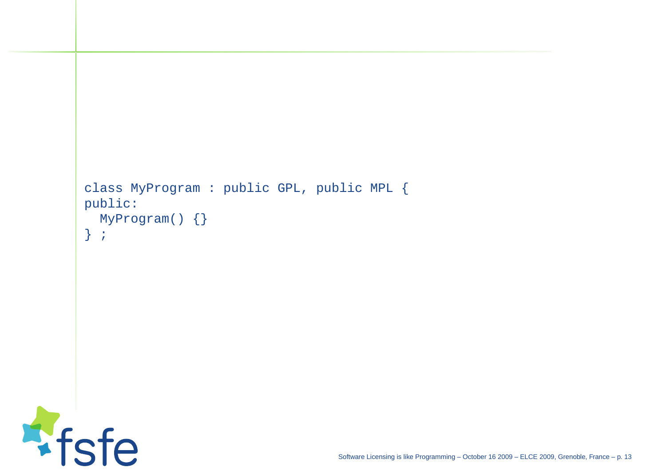```
class MyProgram : public GPL, public MPL {
public:
MyProgram() {}
} ;
```
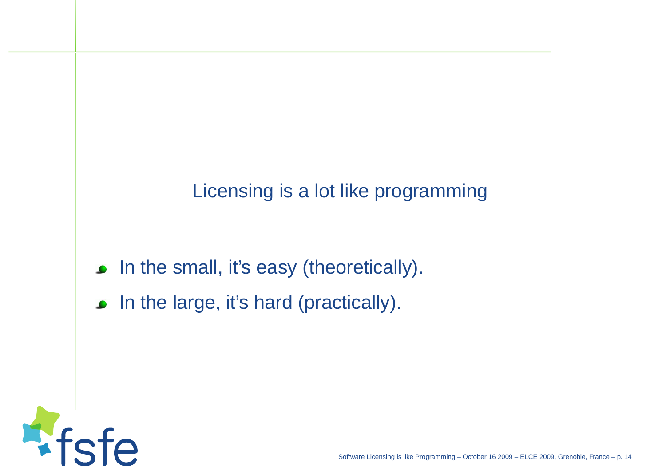### Licensing is <sup>a</sup> lot like programming

- In the small, it's easy (theoretically).
- In the large, it's hard (practically).

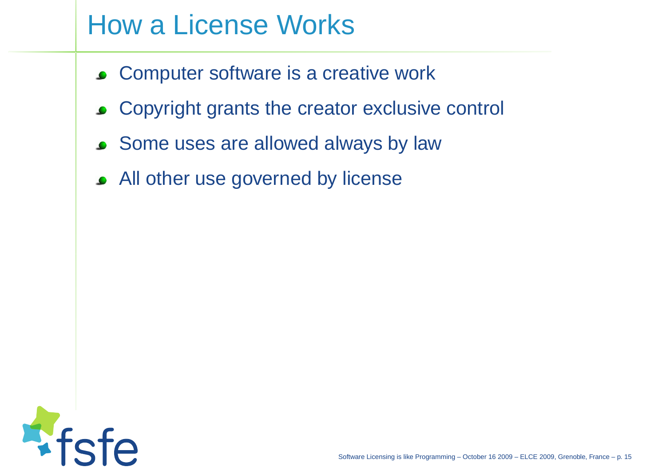### How <sup>a</sup> License Works

- **Computer software is a creative work**
- Copyright grants the creator exclusive control
- **Some uses are allowed always by law**
- All other use governed by license

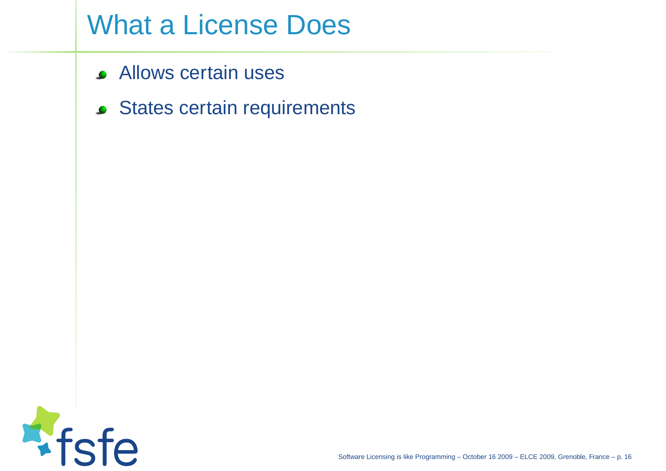### What <sup>a</sup> License Does

- **Allows certain uses**
- **States certain requirements**

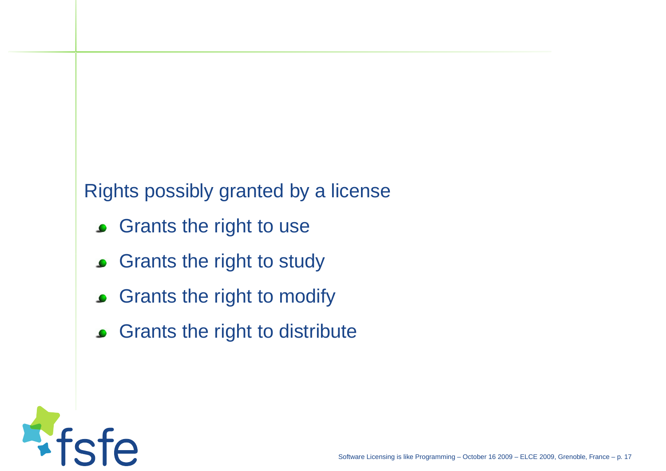#### Rights possibly granted by <sup>a</sup> license

- **C** Grants the right to use
- **Grants the right to study**
- Grants the right to modify $\bullet$
- **Grants the right to distribute**

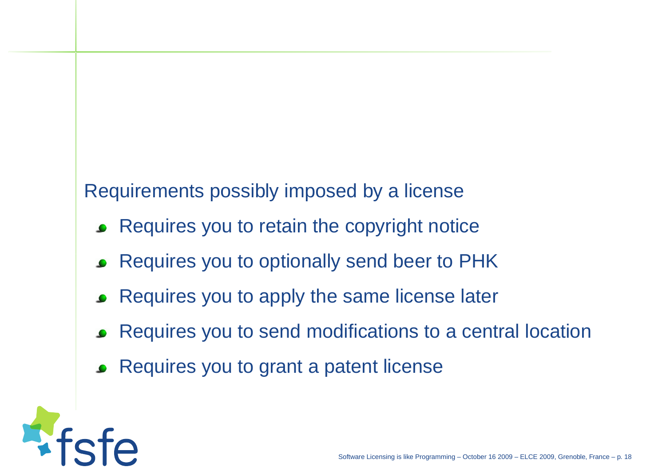#### Requirements possibly imposed by <sup>a</sup> license

- **Requires you to retain the copyright notice**
- Requires you to optionally send beer to PHK
- **Requires you to apply the same license later**
- Requires you to send modifications to <sup>a</sup> central location
- Requires you to grant <sup>a</sup> patent license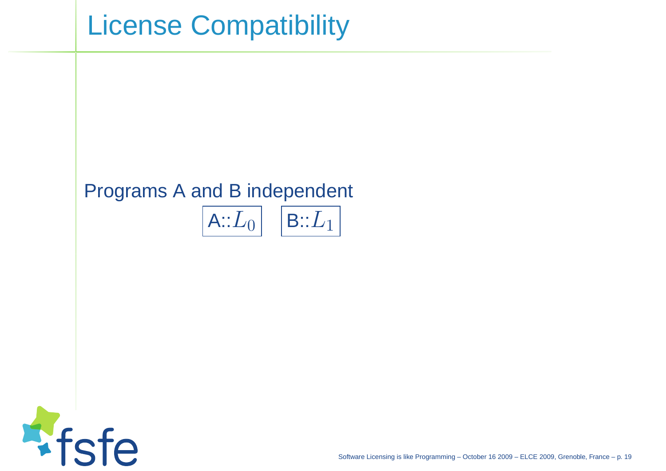### License Compatibility

### Programs A and B independent

$$
\boxed{\mathsf{A::}L_0} \quad \boxed{\mathsf{B::}L_1}
$$



Software Licensing is like Programming – October 16 2009 – ELCE 2009, Grenoble, France – p. 19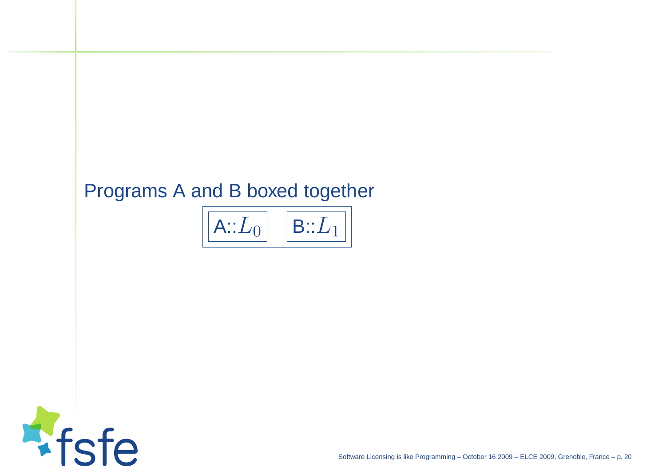### Programs A and B boxed together



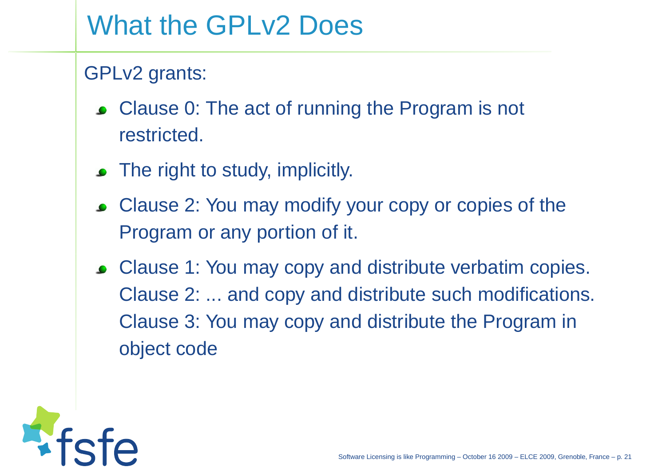### What the GPLv2 Does

### GPLv2 grants:

- Clause 0: The act of running the Program is not restricted.
- The right to study, implicitly.
- Clause 2: You may modify your copy or copies of theProgram or any portion of it.
- Clause 1: You may copy and distribute verbatim copies. Clause 2: ... and copy and distribute such modifications. Clause 3: You may copy and distribute the Program inobject code

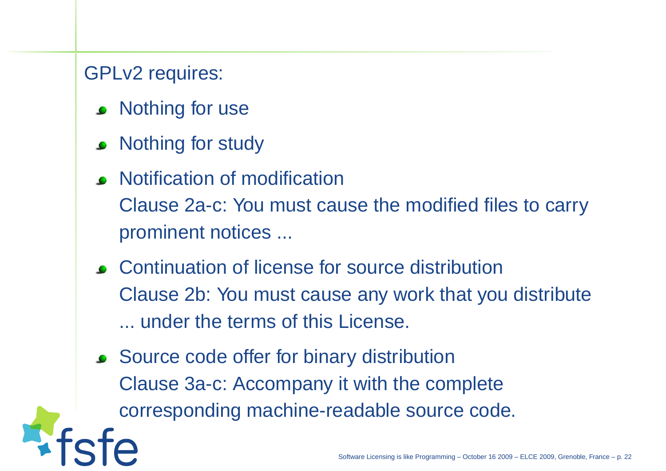GPLv2 requires:

- Nothing for use
- Nothing for study
- Notification of modification Clause 2a-c: You must cause the modified files to carryprominent notices ...
- Continuation of license for source distributionClause 2b: You must cause any work that you distribute... under the terms of this License.
- **Source code offer for binary distribution** Clause 3a-c: Accompany it with the completecorresponding machine-readable source code.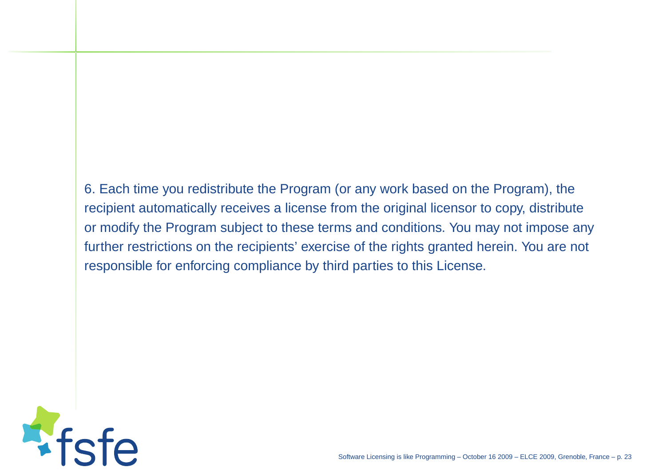6. Each time you redistribute the Program (or any work based on the Program), therecipient automatically receives <sup>a</sup> license from the original licensor to copy, distributeor modify the Program subject to these terms and conditions. You may not impose anyfurther restrictions on the recipients' exercise of the rights granted herein. You are not responsible for enforcing compliance by third parties to this License.

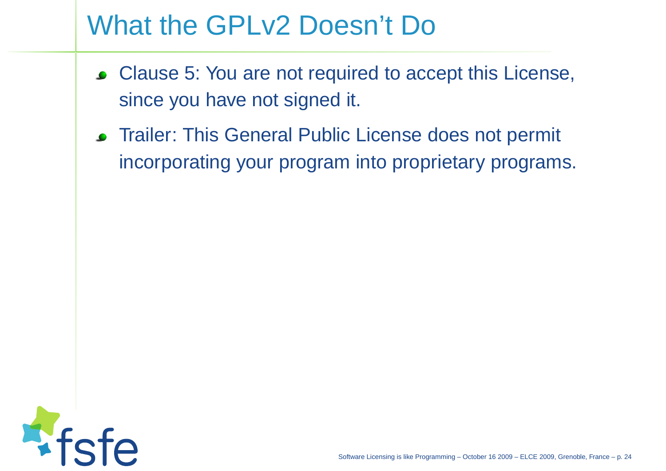### What the GPLv2 Doesn't Do

- Clause 5: You are not required to accept this License, since you have not signed it.
- **Trailer: This General Public License does not permit** incorporating your program into proprietary programs.

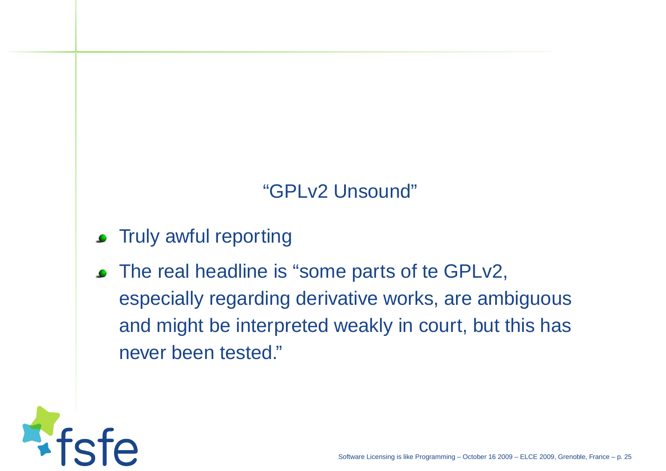### "GPLv2 Unsound"

- Truly awful reporting
- The real headline is "some parts of te GPLv2, especially regarding derivative works, are ambiguousand might be interpreted weakly in court, but this hasnever been tested."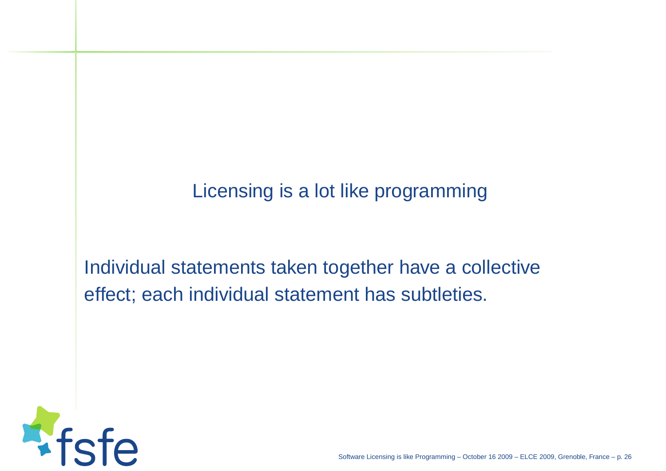#### Licensing is <sup>a</sup> lot like programming

Individual statements taken together have <sup>a</sup> collectiveeffect; each individual statement has subtleties.

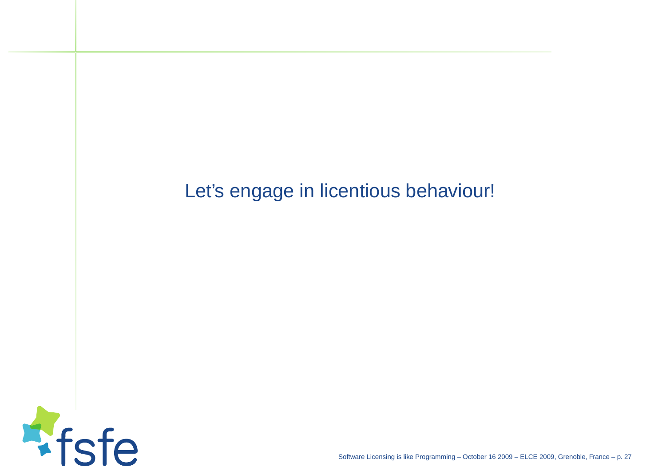### Let's engage in licentious behaviour!



Software Licensing is like Programming – October 16 2009 – ELCE 2009, Grenoble, France – p. <sup>27</sup>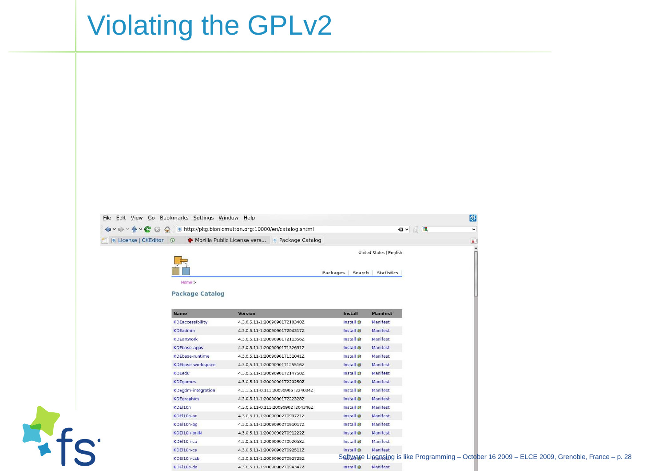| $4 \cdot C$              | 63<br><b>One</b>       | http://pkg.bionicmutton.org:10000/en/catalog.shtml |                      | G v J H                 | $\checkmark$ |                                                                                                |  |
|--------------------------|------------------------|----------------------------------------------------|----------------------|-------------------------|--------------|------------------------------------------------------------------------------------------------|--|
| O License   CKEditor   p |                        | Mozilla Public License vers   O Package Catalog    |                      |                         | ×.           |                                                                                                |  |
|                          |                        |                                                    |                      | United States   English |              |                                                                                                |  |
|                          |                        |                                                    |                      |                         |              |                                                                                                |  |
|                          |                        |                                                    |                      |                         |              |                                                                                                |  |
|                          |                        |                                                    | Packages             | Search Statistics       |              |                                                                                                |  |
|                          | Home                   |                                                    |                      |                         |              |                                                                                                |  |
|                          | <b>Package Catalog</b> |                                                    |                      |                         |              |                                                                                                |  |
|                          |                        |                                                    |                      |                         |              |                                                                                                |  |
|                          | <b>Name</b>            | <b>Version</b>                                     | <b>Install</b>       | <b>Manifest</b>         |              |                                                                                                |  |
|                          | KDEaccessibility       | 4.3.0,5.11-1:20090901T210340Z                      | Install <sub>3</sub> | Manifest                |              |                                                                                                |  |
|                          | <b>KDEadmin</b>        | 4.3.0,5.11-1:20090901T204317Z                      | Install <sup>8</sup> | Manifest                |              |                                                                                                |  |
|                          | <b>KDEartwork</b>      | 4.3.0,5.11-1:20090901T211356Z                      | Install <sup>9</sup> | Manifest                |              |                                                                                                |  |
|                          | <b>KDEbase-apps</b>    | 4.3.0,5.11-1:20090901T132631Z                      | Install <sup>3</sup> | Manifest                |              |                                                                                                |  |
|                          | <b>KDEbase-runtime</b> | 4.3.0,5.11-1:20090901T131041Z                      | Install <sup>3</sup> | Manifest                |              |                                                                                                |  |
|                          | KDEbase-workspace      | 4.3.0,5.11-1:20090901T125516Z                      | Install <sub>8</sub> | Manifest                |              |                                                                                                |  |
|                          | <b>KDEedu</b>          | 4.3.0,5.11-1:20090901T214750Z                      | Install <sup>3</sup> | Manifest                |              |                                                                                                |  |
|                          | <b>KDEgames</b>        | 4.3.0,5.11-1:20090901T220250Z                      | Install <sub>8</sub> | Manifest                |              |                                                                                                |  |
|                          | KDEgdm-integration     | 4.3.1,5.11-0.111:20090906T224004Z                  | Install <sup>3</sup> | Manifest                |              |                                                                                                |  |
|                          | <b>KDEgraphics</b>     | 4.3.0,5.11-1:20090901T222328Z                      | Install <sup>8</sup> | Manifest                |              |                                                                                                |  |
|                          | KDEI10n                | 4.3.0,5.11-0.111:20090902T204346Z                  | Install <sup>9</sup> | Manifest                |              |                                                                                                |  |
|                          | KDEI10n-ar             | 4.3.0,5.11-1:20090902T090721Z                      | install <sup>3</sup> | Manifest                |              |                                                                                                |  |
|                          | KDEI10n-bg             | 4.3.0,5.11-1:20090902T091017Z                      | Install <sup>8</sup> | Manifest                |              |                                                                                                |  |
|                          | KDEI10n-bnIN           | 4.3.0,5.11-1:20090902T091222Z                      | Install <sub>8</sub> | Manifest                |              |                                                                                                |  |
|                          | KDEI10n-ca             | 4.3.0,5.11-1:20090902T092058Z                      | Install <sup>®</sup> | <b>Manifest</b>         |              |                                                                                                |  |
|                          | KDEI10n-cs             | 4.3.0,5.11-1:20090902T092511Z                      | Install <sup>3</sup> | Manifest                |              |                                                                                                |  |
|                          | KDEI10n-csb            | 4.3.0,5.11-1:20090902T092725Z                      |                      |                         |              | Software Linemsing is like Programming - October 16 2009 - ELCE 2009, Grenoble, France - p. 28 |  |
|                          |                        |                                                    |                      |                         |              |                                                                                                |  |

# Violating the GPLv2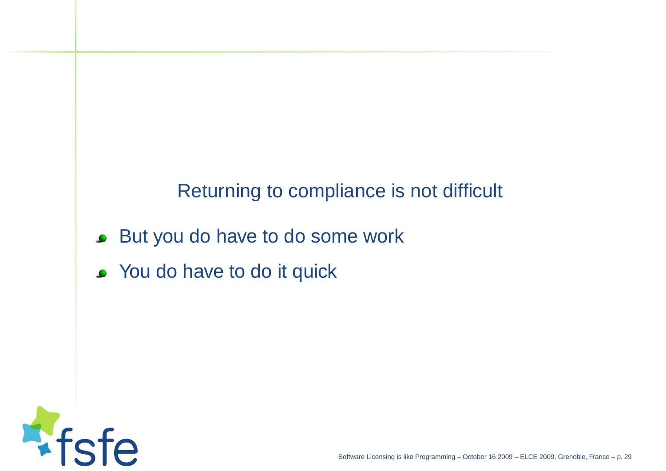#### Returning to compliance is not difficult

- But you do have to do some work $\bullet$
- You do have to do it quick

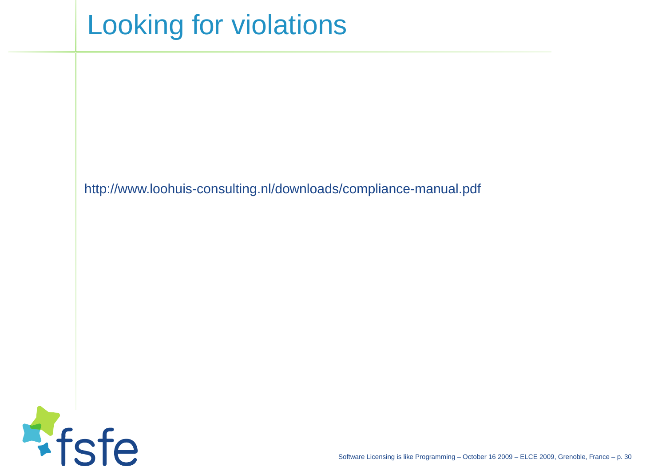### Looking for violations

http://www.loohuis-consulting.nl/downloads/compliance-manual.pdf

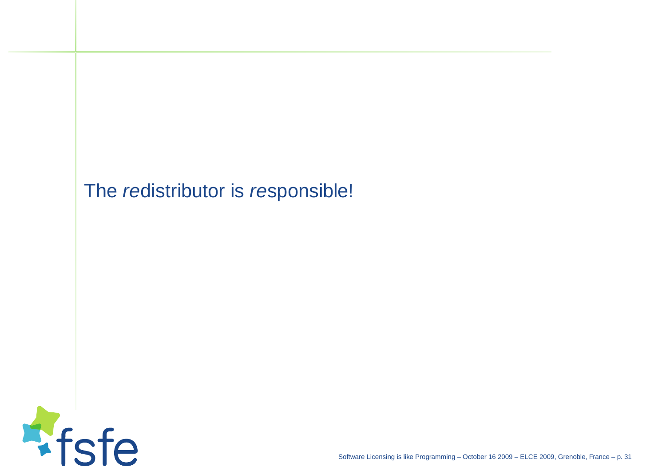### The *re*distributor is *re*sponsible!